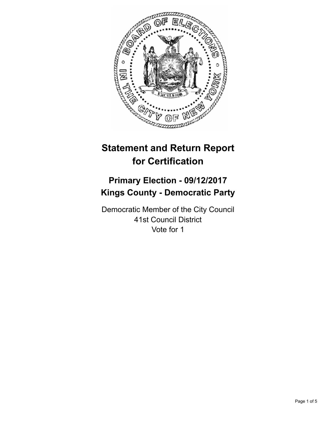

# **Statement and Return Report for Certification**

## **Primary Election - 09/12/2017 Kings County - Democratic Party**

Democratic Member of the City Council 41st Council District Vote for 1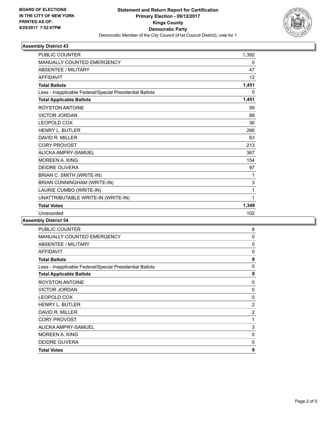

### **Assembly District 43**

| <b>PUBLIC COUNTER</b>                                    | 1,392        |
|----------------------------------------------------------|--------------|
| <b>MANUALLY COUNTED EMERGENCY</b>                        | 0            |
| <b>ABSENTEE / MILITARY</b>                               | 47           |
| <b>AFFIDAVIT</b>                                         | 12           |
| <b>Total Ballots</b>                                     | 1,451        |
| Less - Inapplicable Federal/Special Presidential Ballots | $\Omega$     |
| <b>Total Applicable Ballots</b>                          | 1,451        |
| <b>ROYSTON ANTOINE</b>                                   | 59           |
| <b>VICTOR JORDAN</b>                                     | 88           |
| <b>LEOPOLD COX</b>                                       | 36           |
| <b>HENRY L. BUTLER</b>                                   | 266          |
| DAVID R. MILLER                                          | 63           |
| <b>CORY PROVOST</b>                                      | 213          |
| ALICKA AMPRY-SAMUEL                                      | 367          |
| <b>MOREEN A. KING</b>                                    | 154          |
| <b>DEIDRE OLIVERA</b>                                    | 97           |
| BRIAN C. SMITH (WRITE-IN)                                | 1            |
| BRIAN CUNNINGHAM (WRITE-IN)                              | 3            |
| LAURIE CUMBO (WRITE-IN)                                  | 1            |
| UNATTRIBUTABLE WRITE-IN (WRITE-IN)                       | $\mathbf{1}$ |
| <b>Total Votes</b>                                       | 1,349        |
| Unrecorded                                               | 102          |
|                                                          |              |

### **Assembly District 54**

| <b>PUBLIC COUNTER</b>                                    | 8           |
|----------------------------------------------------------|-------------|
| MANUALLY COUNTED EMERGENCY                               | $\mathbf 0$ |
| ABSENTEE / MILITARY                                      | 0           |
| <b>AFFIDAVIT</b>                                         | 0           |
| <b>Total Ballots</b>                                     | 8           |
| Less - Inapplicable Federal/Special Presidential Ballots | 0           |
| <b>Total Applicable Ballots</b>                          | 8           |
| <b>ROYSTON ANTOINE</b>                                   | 0           |
| <b>VICTOR JORDAN</b>                                     | 0           |
| LEOPOLD COX                                              | 0           |
| <b>HENRY L. BUTLER</b>                                   | 2           |
| DAVID R. MILLER                                          | 2           |
| <b>CORY PROVOST</b>                                      | 1           |
| ALICKA AMPRY-SAMUEL                                      | 3           |
| MOREEN A. KING                                           | 0           |
| <b>DEIDRE OLIVERA</b>                                    | 0           |
| <b>Total Votes</b>                                       | 8           |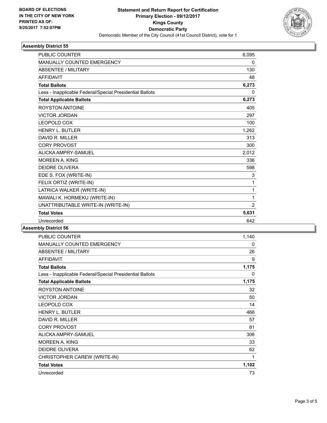

### **Assembly District 55**

| <b>PUBLIC COUNTER</b>                                    | 6,095          |
|----------------------------------------------------------|----------------|
| MANUALLY COUNTED EMERGENCY                               | 0              |
| <b>ABSENTEE / MILITARY</b>                               | 130            |
| <b>AFFIDAVIT</b>                                         | 48             |
| <b>Total Ballots</b>                                     | 6,273          |
| Less - Inapplicable Federal/Special Presidential Ballots | 0              |
| <b>Total Applicable Ballots</b>                          | 6,273          |
| <b>ROYSTON ANTOINE</b>                                   | 405            |
| <b>VICTOR JORDAN</b>                                     | 297            |
| <b>LEOPOLD COX</b>                                       | 100            |
| <b>HENRY L. BUTLER</b>                                   | 1,262          |
| DAVID R. MILLER                                          | 313            |
| <b>CORY PROVOST</b>                                      | 300            |
| ALICKA AMPRY-SAMUEL                                      | 2.012          |
| <b>MOREEN A. KING</b>                                    | 336            |
| <b>DEIDRE OLIVERA</b>                                    | 598            |
| EDE S. FOX (WRITE-IN)                                    | 3              |
| FELIX ORTIZ (WRITE-IN)                                   | $\mathbf{1}$   |
| LATRICA WALKER (WRITE-IN)                                | 1              |
| MAWALI K. HORMEKU (WRITE-IN)                             | $\mathbf 1$    |
| UNATTRIBUTABLE WRITE-IN (WRITE-IN)                       | $\overline{2}$ |
| <b>Total Votes</b>                                       | 5,631          |
| Unrecorded                                               | 642            |
|                                                          |                |

**Assembly District 56**

| PUBLIC COUNTER                                           | 1,140 |
|----------------------------------------------------------|-------|
| MANUALLY COUNTED EMERGENCY                               | 0     |
| ABSENTEE / MILITARY                                      | 26    |
| <b>AFFIDAVIT</b>                                         | 9     |
| <b>Total Ballots</b>                                     | 1,175 |
| Less - Inapplicable Federal/Special Presidential Ballots | 0     |
| <b>Total Applicable Ballots</b>                          | 1,175 |
| <b>ROYSTON ANTOINE</b>                                   | 32    |
| <b>VICTOR JORDAN</b>                                     | 50    |
| <b>LEOPOLD COX</b>                                       | 14    |
| <b>HENRY L. BUTLER</b>                                   | 466   |
| DAVID R. MILLER                                          | 57    |
| <b>CORY PROVOST</b>                                      | 81    |
| ALICKA AMPRY-SAMUEL                                      | 306   |
| MOREEN A. KING                                           | 33    |
| <b>DEIDRE OLIVERA</b>                                    | 62    |
| CHRISTOPHER CAREW (WRITE-IN)                             | 1     |
| <b>Total Votes</b>                                       | 1,102 |
| Unrecorded                                               | 73    |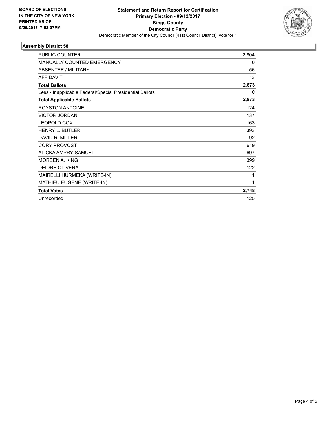

### **Assembly District 58**

| <b>PUBLIC COUNTER</b>                                    | 2,804 |
|----------------------------------------------------------|-------|
| <b>MANUALLY COUNTED EMERGENCY</b>                        | 0     |
| <b>ABSENTEE / MILITARY</b>                               | 56    |
| <b>AFFIDAVIT</b>                                         | 13    |
| <b>Total Ballots</b>                                     | 2,873 |
| Less - Inapplicable Federal/Special Presidential Ballots | 0     |
| <b>Total Applicable Ballots</b>                          | 2,873 |
| <b>ROYSTON ANTOINE</b>                                   | 124   |
| <b>VICTOR JORDAN</b>                                     | 137   |
| <b>LEOPOLD COX</b>                                       | 163   |
| <b>HENRY L. BUTLER</b>                                   | 393   |
| DAVID R. MILLER                                          | 92    |
| <b>CORY PROVOST</b>                                      | 619   |
| ALICKA AMPRY-SAMUEL                                      | 697   |
| MORFFN A. KING                                           | 399   |
| <b>DEIDRE OLIVERA</b>                                    | 122   |
| MAIRELLI HURMEKA (WRITE-IN)                              | 1     |
| MATHIEU EUGENE (WRITE-IN)                                | 1     |
| <b>Total Votes</b>                                       | 2,748 |
| Unrecorded                                               | 125   |